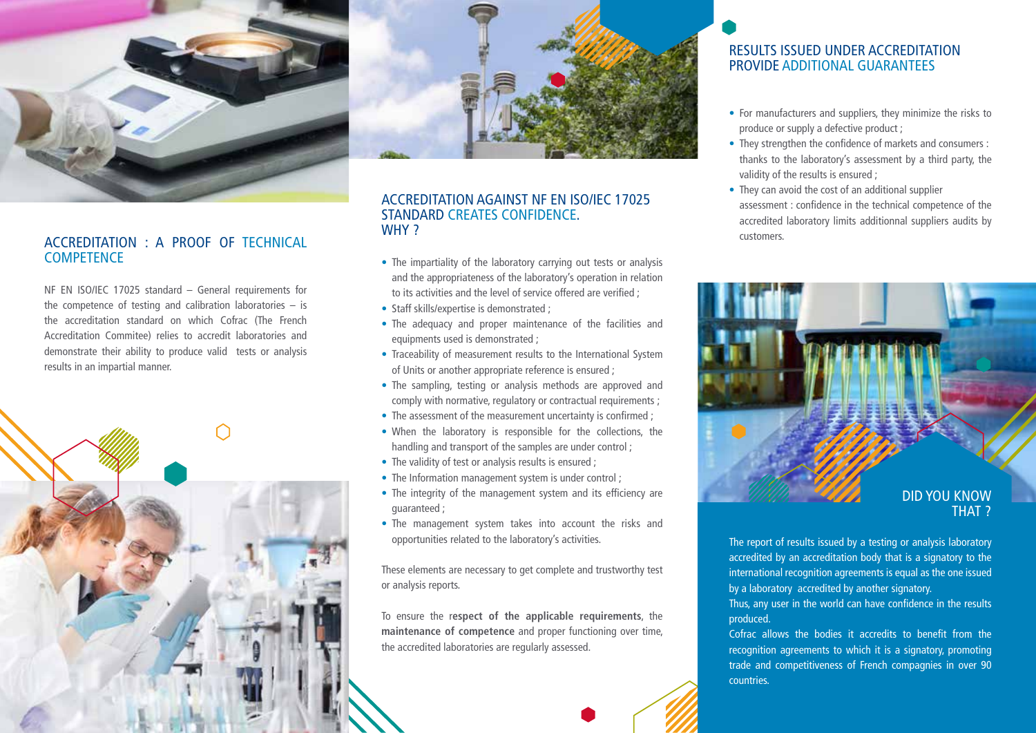

## ACCREDITATION : A PROOF OF TECHNICAL **WITH** CUSTOMERS. **COMPETENCE**

NF EN ISO/IEC 17025 standard – General requirements for the competence of testing and calibration laboratories – is the accreditation standard on which Cofrac (The French Accreditation Commitee) relies to accredit laboratories and demonstrate their ability to produce valid tests or analysis results in an impartial manner.





## ACCREDITATION AGAINST NF EN ISO/IEC 17025 STANDARD CREATES CONFIDENCE. WHY?

- The impartiality of the laboratory carrying out tests or analysis and the appropriateness of the laboratory's operation in relation to its activities and the level of service offered are verified ;
- Staff skills/expertise is demonstrated ;
- The adequacy and proper maintenance of the facilities and equipments used is demonstrated ;
- Traceability of measurement results to the International System of Units or another appropriate reference is ensured ;
- The sampling, testing or analysis methods are approved and comply with normative, regulatory or contractual requirements ;
- The assessment of the measurement uncertainty is confirmed ;
- When the laboratory is responsible for the collections, the handling and transport of the samples are under control ;
- The validity of test or analysis results is ensured ;
- The Information management system is under control;
- The integrity of the management system and its efficiency are guaranteed ;
- The management system takes into account the risks and opportunities related to the laboratory's activities.

These elements are necessary to get complete and trustworthy test or analysis reports.

To ensure the r**espect of the applicable requirements**, the **maintenance of competence** and proper functioning over time, the accredited laboratories are regularly assessed.

## RESULTS ISSUED UNDER ACCREDITATION PROVIDE ADDITIONAL GUARANTEES

- For manufacturers and suppliers, they minimize the risks to produce or supply a defective product ;
- They strengthen the confidence of markets and consumers : thanks to the laboratory's assessment by a third party, the validity of the results is ensured ;
- They can avoid the cost of an additional supplier assessment : confidence in the technical competence of the accredited laboratory limits additionnal suppliers audits by



The report of results issued by a testing or analysis laboratory accredited by an accreditation body that is a signatory to the international recognition agreements is equal as the one issued by a laboratory accredited by another signatory. Thus, any user in the world can have confidence in the results

## produced.

Cofrac allows the bodies it accredits to benefit from the recognition agreements to which it is a signatory, promoting trade and competitiveness of French compagnies in over 90 countries.